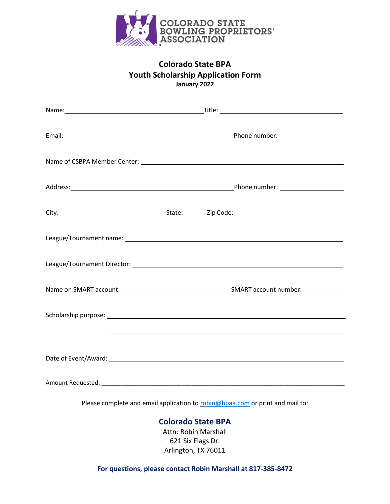

# **Colorado State BPA Youth Scholarship Application Form January 2022**

|                                                                               | Address: <u>National Phone number:</u> National Phone number: National Phone number: National Phone number: National Phone number: National Phone number: National Phone number: National Phone number: National Phone number: Nati |
|-------------------------------------------------------------------------------|-------------------------------------------------------------------------------------------------------------------------------------------------------------------------------------------------------------------------------------|
|                                                                               |                                                                                                                                                                                                                                     |
|                                                                               |                                                                                                                                                                                                                                     |
|                                                                               |                                                                                                                                                                                                                                     |
|                                                                               |                                                                                                                                                                                                                                     |
|                                                                               |                                                                                                                                                                                                                                     |
|                                                                               | <u> 1989 - Johann Stoff, deutscher Stoff, der Stoff, der Stoff, der Stoff, der Stoff, der Stoff, der Stoff, der S</u>                                                                                                               |
|                                                                               |                                                                                                                                                                                                                                     |
|                                                                               |                                                                                                                                                                                                                                     |
| Please complete and email application to robin@bpaa.com or print and mail to: |                                                                                                                                                                                                                                     |

# **Colorado State BPA**

Attn: Robin Marshall 621 Six Flags Dr. Arlington, TX 76011

**For questions, please contact Robin Marshall at 817-385-8472**